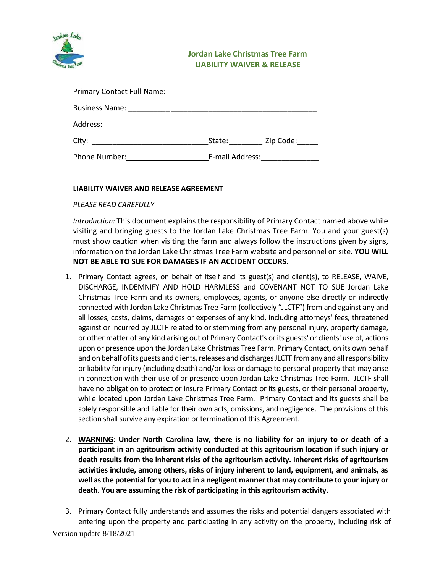

## **Jordan Lake Christmas Tree Farm LIABILITY WAIVER & RELEASE**

| Address:      |        |                                                 |  |
|---------------|--------|-------------------------------------------------|--|
| City:         | State: | Zip Code:                                       |  |
| Phone Number: |        | E-mail Address: North and Sensing Section 1986. |  |

## **LIABILITY WAIVER AND RELEASE AGREEMENT**

## *PLEASE READ CAREFULLY*

*Introduction:* This document explains the responsibility of Primary Contact named above while visiting and bringing guests to the Jordan Lake Christmas Tree Farm. You and your guest(s) must show caution when visiting the farm and always follow the instructions given by signs, information on the Jordan Lake Christmas Tree Farm website and personnel on site. **YOU WILL NOT BE ABLE TO SUE FOR DAMAGES IF AN ACCIDENT OCCURS**.

- 1. Primary Contact agrees, on behalf of itself and its guest(s) and client(s), to RELEASE, WAIVE, DISCHARGE, INDEMNIFY AND HOLD HARMLESS and COVENANT NOT TO SUE Jordan Lake Christmas Tree Farm and its owners, employees, agents, or anyone else directly or indirectly connected with Jordan Lake Christmas Tree Farm (collectively "JLCTF") from and against any and all losses, costs, claims, damages or expenses of any kind, including attorneys' fees, threatened against or incurred by JLCTF related to or stemming from any personal injury, property damage, or other matter of any kind arising out of Primary Contact's or its guests' or clients' use of, actions upon or presence upon the Jordan Lake Christmas Tree Farm. Primary Contact, on its own behalf and on behalf of its guests and clients, releases and discharges JLCTF from any and all responsibility or liability for injury (including death) and/or loss or damage to personal property that may arise in connection with their use of or presence upon Jordan Lake Christmas Tree Farm. JLCTF shall have no obligation to protect or insure Primary Contact or its guests, or their personal property, while located upon Jordan Lake Christmas Tree Farm. Primary Contact and its guests shall be solely responsible and liable for their own acts, omissions, and negligence. The provisions of this section shall survive any expiration or termination of this Agreement.
- 2. **WARNING**: **Under North Carolina law, there is no liability for an injury to or death of a participant in an agritourism activity conducted at this agritourism location if such injury or death results from the inherent risks of the agritourism activity. Inherent risks of agritourism activities include, among others, risks of injury inherent to land, equipment, and animals, as well as the potential for you to act in a negligent manner that may contribute to your injury or death. You are assuming the risk of participating in this agritourism activity.**
- Version update 8/18/2021 3. Primary Contact fully understands and assumes the risks and potential dangers associated with entering upon the property and participating in any activity on the property, including risk of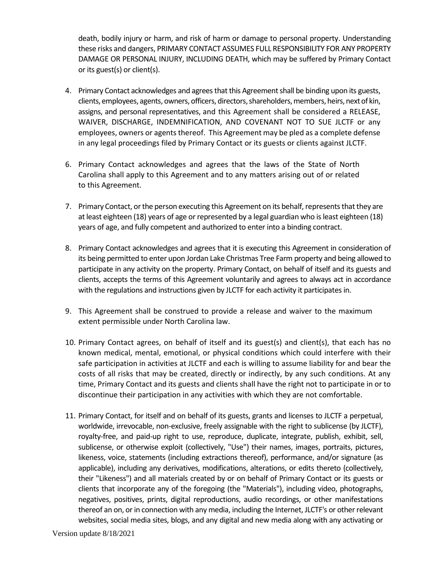death, bodily injury or harm, and risk of harm or damage to personal property. Understanding these risks and dangers, PRIMARY CONTACT ASSUMES FULL RESPONSIBILITY FOR ANY PROPERTY DAMAGE OR PERSONAL INJURY, INCLUDING DEATH, which may be suffered by Primary Contact or its guest(s) or client(s).

- 4. Primary Contact acknowledges and agrees that this Agreement shall be binding upon its guests, clients, employees, agents, owners, officers, directors, shareholders, members, heirs, next of kin, assigns, and personal representatives, and this Agreement shall be considered a RELEASE, WAIVER, DISCHARGE, INDEMNIFICATION, AND COVENANT NOT TO SUE JLCTF or any employees, owners or agents thereof. This Agreement may be pled as a complete defense in any legal proceedings filed by Primary Contact or its guests or clients against JLCTF.
- 6. Primary Contact acknowledges and agrees that the laws of the State of North Carolina shall apply to this Agreement and to any matters arising out of or related to this Agreement.
- 7. Primary Contact, or the person executing this Agreement on its behalf, represents that they are at least eighteen (18) years of age or represented by a legal guardian who is least eighteen (18) years of age, and fully competent and authorized to enter into a binding contract.
- 8. Primary Contact acknowledges and agrees that it is executing this Agreement in consideration of its being permitted to enter upon Jordan Lake Christmas Tree Farm property and being allowed to participate in any activity on the property. Primary Contact, on behalf of itself and its guests and clients, accepts the terms of this Agreement voluntarily and agrees to always act in accordance with the regulations and instructions given by JLCTF for each activity it participates in.
- 9. This Agreement shall be construed to provide a release and waiver to the maximum extent permissible under North Carolina law.
- 10. Primary Contact agrees, on behalf of itself and its guest(s) and client(s), that each has no known medical, mental, emotional, or physical conditions which could interfere with their safe participation in activities at JLCTF and each is willing to assume liability for and bear the costs of all risks that may be created, directly or indirectly, by any such conditions. At any time, Primary Contact and its guests and clients shall have the right not to participate in or to discontinue their participation in any activities with which they are not comfortable.
- 11. Primary Contact, for itself and on behalf of its guests, grants and licenses to JLCTF a perpetual, worldwide, irrevocable, non-exclusive, freely assignable with the right to sublicense (by JLCTF), royalty-free, and paid-up right to use, reproduce, duplicate, integrate, publish, exhibit, sell, sublicense, or otherwise exploit (collectively, "Use") their names, images, portraits, pictures, likeness, voice, statements (including extractions thereof), performance, and/or signature (as applicable), including any derivatives, modifications, alterations, or edits thereto (collectively, their "Likeness") and all materials created by or on behalf of Primary Contact or its guests or clients that incorporate any of the foregoing (the "Materials"), including video, photographs, negatives, positives, prints, digital reproductions, audio recordings, or other manifestations thereof an on, or in connection with any media, including the Internet, JLCTF's or other relevant websites, social media sites, blogs, and any digital and new media along with any activating or

Version update 8/18/2021